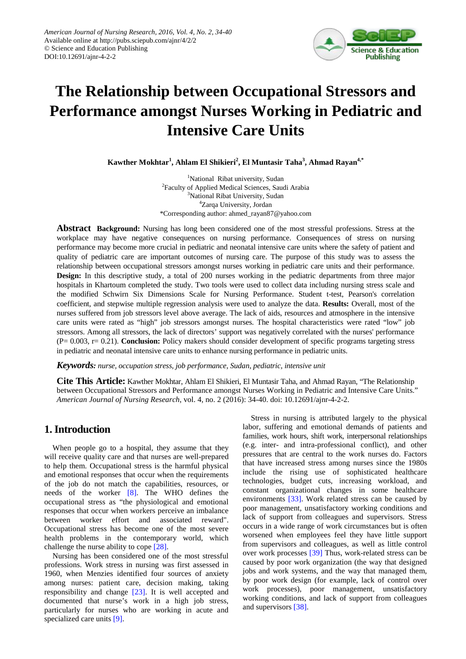

# **The Relationship between Occupational Stressors and Performance amongst Nurses Working in Pediatric and Intensive Care Units**

 $\bold{Kawther Mokhtar}^1,$  Ahlam El Shikieri $^2,$  El Muntasir Taha $^3,$  Ahmad Rayan $^{4,*}$ 

<sup>1</sup>National Ribat university, Sudan <sup>2</sup>Faculty of Applied Medical Sciences, Saudi Arabia <sup>3</sup>National Ribat University, Sudan 4 Zarqa University, Jordan \*Corresponding author: ahmed\_rayan87@yahoo.com

**Abstract Background:** Nursing has long been considered one of the most stressful professions. Stress at the workplace may have negative consequences on nursing performance. Consequences of stress on nursing performance may become more crucial in pediatric and neonatal intensive care units where the safety of patient and quality of pediatric care are important outcomes of nursing care. The purpose of this study was to assess the relationship between occupational stressors amongst nurses working in pediatric care units and their performance. **Design:** In this descriptive study, a total of 200 nurses working in the pediatric departments from three major hospitals in Khartoum completed the study. Two tools were used to collect data including nursing stress scale and the modified Schwirn Six Dimensions Scale for Nursing Performance. Student t-test, Pearson's correlation coefficient, and stepwise multiple regression analysis were used to analyze the data. **Results:** Overall, most of the nurses suffered from job stressors level above average. The lack of aids, resources and atmosphere in the intensive care units were rated as "high" job stressors amongst nurses. The hospital characteristics were rated "low" job stressors. Among all stressors, the lack of directors' support was negatively correlated with the nurses' performance (P= 0.003, r= 0.21). **Conclusion:** Policy makers should consider development of specific programs targeting stress in pediatric and neonatal intensive care units to enhance nursing performance in pediatric units.

*Keywords: nurse, occupation stress, job performance, Sudan, pediatric, intensive unit*

**Cite This Article:** Kawther Mokhtar, Ahlam El Shikieri, El Muntasir Taha, and Ahmad Rayan, "The Relationship between Occupational Stressors and Performance amongst Nurses Working in Pediatric and Intensive Care Units." *American Journal of Nursing Research*, vol. 4, no. 2 (2016): 34-40. doi: 10.12691/ajnr-4-2-2.

# **1. Introduction**

When people go to a hospital, they assume that they will receive quality care and that nurses are well-prepared to help them. Occupational stress is the harmful physical and emotional responses that occur when the requirements of the job do not match the capabilities, resources, or needs of the worker [\[8\].](#page-6-0) The WHO defines the occupational stress as "the physiological and emotional responses that occur when workers perceive an imbalance between worker effort and associated reward". Occupational stress has become one of the most severe health problems in the contemporary world, which challenge the nurse ability to cope [\[28\].](#page-6-1)

Nursing has been considered one of the most stressful professions. Work stress in nursing was first assessed in 1960, when Menzies identified four sources of anxiety among nurses: patient care, decision making, taking responsibility and change [\[23\].](#page-6-2) It is well accepted and documented that nurse's work in a high job stress, particularly for nurses who are working in acute and specialized care unit[s \[9\].](#page-6-3)

Stress in nursing is attributed largely to the physical labor, suffering and emotional demands of patients and families, work hours, shift work, interpersonal relationships (e.g. inter- and intra-professional conflict), and other pressures that are central to the work nurses do. Factors that have increased stress among nurses since the 1980s include the rising use of sophisticated healthcare technologies, budget cuts, increasing workload, and constant organizational changes in some healthcare environments [\[33\].](#page-6-4) Work related stress can be caused by poor management, unsatisfactory working conditions and lack of support from colleagues and supervisors. Stress occurs in a wide range of work circumstances but is often worsened when employees feel they have little support from supervisors and colleagues, as well as little control over work processes [\[39\]](#page-6-5) Thus, work-related stress can be caused by poor work organization (the way that designed jobs and work systems, and the way that managed them, by poor work design (for example, lack of control over work processes), poor management, unsatisfactory working conditions, and lack of support from colleagues and supervisors [\[38\].](#page-6-6)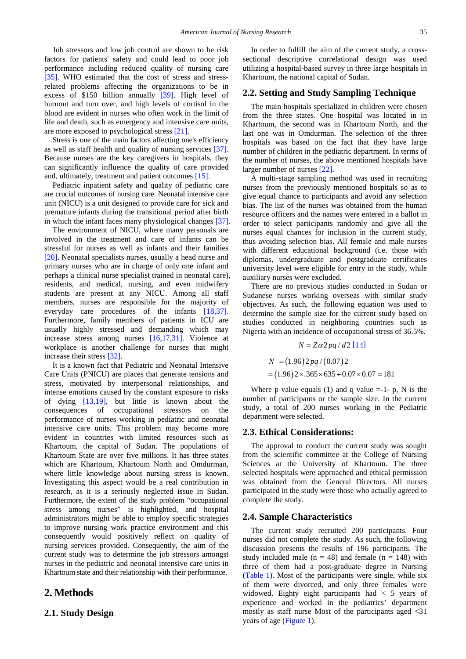Job stressors and low job control are shown to be risk factors for patients' safety and could lead to poor job performance including reduced quality of nursing care [\[35\].](#page-6-7) WHO estimated that the cost of stress and stressrelated problems affecting the organizations to be in excess of \$150 billion annually [\[39\].](#page-6-5) High level of burnout and turn over, and high levels of cortisol in the blood are evident in nurses who often work in the limit of life and death, such as emergency and intensive care units, are more exposed to psychological stress [\[21\].](#page-6-8)

Stress is one of the main factors affecting one's efficiency as well as staff health and quality of nursing services [\[37\].](#page-6-9) Because nurses are the key caregivers in hospitals, they can significantly influence the quality of care provided and, ultimately, treatment and patient outcomes [\[15\].](#page-6-10)

Pediatric inpatient safety and quality of pediatric care are crucial outcomes of nursing care. Neonatal intensive care unit (NICU) is a unit designed to provide care for sick and premature infants during the transitional period after birth in which the infant faces many physiological changes [\[37\].](#page-6-9)

The environment of NICU, where many personals are involved in the treatment and care of infants can be stressful for nurses as well as infants and their families [\[20\].](#page-6-11) Neonatal specialists nurses, usually a head nurse and primary nurses who are in charge of only one infant and perhaps a clinical nurse specialist trained in neonatal care), residents, and medical, nursing, and even midwifery students are present at any NICU. Among all staff members, nurses are responsible for the majority of everyday care procedures of the infants [\[18,37\].](#page-6-12) Furthermore, family members of patients in ICU are usually highly stressed and demanding which may increase stress among nurses [\[16,17,31\].](#page-6-13) Violence at workplace is another challenge for nurses that might increase their stress [\[32\].](#page-6-14)

It is a known fact that Pediatric and Neonatal Intensive Care Units (PNICU) are places that generate tensions and stress, motivated by interpersonal relationships, and intense emotions caused by the constant exposure to risks of dying [\[13,19\],](#page-6-15) but little is known about the consequences of occupational stressors on the performance of nurses working in pediatric and neonatal intensive care units. This problem may become more evident in countries with limited resources such as Khartoum, the capital of Sudan. The populations of Khartoum State are over five millions. It has three states which are Khartoum, Khartoum North and Omdurman, where little knowledge about nursing stress is known. Investigating this aspect would be a real contribution in research, as it is a seriously neglected issue in Sudan. Furthermore, the extent of the study problem "occupational stress among nurses" is highlighted, and hospital administrators might be able to employ specific strategies to improve nursing work practice environment and this consequently would positively reflect on quality of nursing services provided. Consequently, the aim of the current study was to determine the job stressors amongst nurses in the pediatric and neonatal intensive care units in Khartoum state and their relationship with their performance.

### **2. Methods**

#### **2.1. Study Design**

In order to fulfill the aim of the current study, a crosssectional descriptive correlational design was used utilizing a hospital-based survey in three large hospitals in Khartoum, the national capital of Sudan.

#### **2.2. Setting and Study Sampling Technique**

The main hospitals specialized in children were chosen from the three states. One hospital was located in in Khartoum, the second was in Khartoum North, and the last one was in Omdurman. The selection of the three hospitals was based on the fact that they have large number of children in the pediatric department. In terms of the number of nurses, the above mentioned hospitals have larger number of nurses [\[22\].](#page-6-16)

A multi-stage sampling method was used in recruiting nurses from the previously mentioned hospitals so as to give equal chance to participants and avoid any selection bias. The list of the nurses was obtained from the human resource officers and the names were entered in a ballot in order to select participants randomly and give all the nurses equal chances for inclusion in the current study, thus avoiding selection bias. All female and male nurses with different educational background (i.e. those with diplomas, undergraduate and postgraduate certificates university level were eligible for entry in the study, while auxiliary nurses were excluded.

There are no previous studies conducted in Sudan or Sudanese nurses working overseas with similar study objectives. As such, the following equation was used to determine the sample size for the current study based on studies conducted in neighboring countries such as Nigeria with an incidence of occupational stress of 36.5%.

$$
N = Z\alpha 2pq / d2 [14]
$$
  
N = (1.96)2pq/(0.07)2  
= (1.96)2×.365×635 ÷ 0.07×0.07 = 181

Where p value equals (1) and q value  $=-1$ - p, N is the number of participants or the sample size. In the current study, a total of 200 nurses working in the Pediatric department were selected.

#### **2.3. Ethical Considerations:**

The approval to conduct the current study was sought from the scientific committee at the College of Nursing Sciences at the University of Khartoum. The three selected hospitals were approached and ethical permission was obtained from the General Directors. All nurses participated in the study were those who actually agreed to complete the study.

#### **2.4. Sample Characteristics**

The current study recruited 200 participants. Four nurses did not complete the study. As such, the following discussion presents the results of 196 participants. The study included male ( $n = 48$ ) and female ( $n = 148$ ) with three of them had a post-graduate degree in Nursing [\(Table 1\)](#page-2-0). Most of the participants were single, while six of them were divorced, and only three females were widowed. Eighty eight participants had < 5 years of experience and worked in the pediatrics' department mostly as staff nurse Most of the participants aged <31 years of age [\(Figure 1\)](#page-2-1).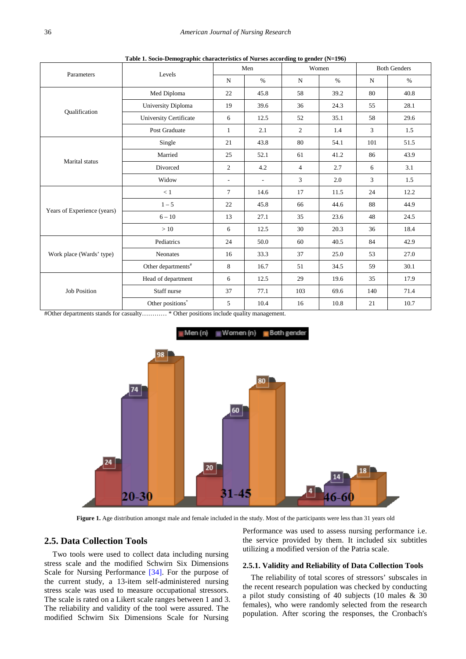<span id="page-2-0"></span>

| Parameters                  | Levels                                                            |                          | Men                      |                | Women | <b>Both Genders</b> |      |
|-----------------------------|-------------------------------------------------------------------|--------------------------|--------------------------|----------------|-------|---------------------|------|
|                             |                                                                   | $\mathbf N$              | $\%$                     | $\mathbf N$    | $\%$  | $\mathbf N$         | $\%$ |
|                             | Med Diploma                                                       | 22                       | 45.8                     | 58             | 39.2  | 80                  | 40.8 |
| Qualification               | University Diploma                                                | 19                       | 39.6                     | 36             | 24.3  | 55                  | 28.1 |
|                             | University Certificate                                            | 6                        | 12.5                     | 52             | 35.1  | 58                  | 29.6 |
|                             | Post Graduate                                                     | $\mathbf{1}$             | 2.1                      | 2              | 1.4   | 3                   | 1.5  |
|                             | Single                                                            | 21                       | 43.8                     | 80             | 54.1  | 101                 | 51.5 |
| Marital status              | Married                                                           | 25                       | 52.1                     | 61             | 41.2  | 86                  | 43.9 |
|                             | Divorced                                                          | $\overline{2}$           | 4.2                      | $\overline{4}$ | 2.7   | 6                   | 3.1  |
|                             | Widow                                                             | $\overline{\phantom{a}}$ | $\overline{\phantom{a}}$ | 3              | 2.0   | 3                   | 1.5  |
| Years of Experience (years) | < 1                                                               | $\overline{7}$           | 14.6                     | 17             | 11.5  | 24                  | 12.2 |
|                             | $1 - 5$                                                           | 22                       | 45.8                     | 66             | 44.6  | 88                  | 44.9 |
|                             | $6 - 10$                                                          | 13                       | 27.1                     | 35             | 23.6  | 48                  | 24.5 |
|                             | >10                                                               | 6                        | 12.5                     | 30             | 20.3  | 36                  | 18.4 |
|                             | Pediatrics                                                        | 24                       | 50.0                     | 60             | 40.5  | 84                  | 42.9 |
| Work place (Wards' type)    | Neonates                                                          | 16                       | 33.3                     | 37             | 25.0  | 53                  | 27.0 |
|                             | Other departments $\hspace{-0.1cm}\raisebox{0.2mm}{\text{}}^{\#}$ | 8                        | 16.7                     | 51             | 34.5  | 59                  | 30.1 |
| <b>Job Position</b>         | Head of department                                                | 6                        | 12.5                     | 29             | 19.6  | 35                  | 17.9 |
|                             | Staff nurse                                                       | 37                       | 77.1                     | 103            | 69.6  | 140                 | 71.4 |
|                             | Other positions $\!\!^*$                                          | 5                        | 10.4                     | 16             | 10.8  | 21                  | 10.7 |

**Table 1. Socio-Demographic characteristics of Nurses according to gender (N=196)**

<span id="page-2-1"></span>#Other departments stands for casualty………… \* Other positions include quality management.



**Figure 1.** Age distribution amongst male and female included in the study. Most of the participants were less than 31 years old

#### **2.5. Data Collection Tools**

Two tools were used to collect data including nursing stress scale and the modified Schwirn Six Dimensions Scale for Nursing Performance [\[34\].](#page-6-18) For the purpose of the current study, a 13-item self-administered nursing stress scale was used to measure occupational stressors. The scale is rated on a Likert scale ranges between 1 and 3. The reliability and validity of the tool were assured. The modified Schwirn Six Dimensions Scale for Nursing

Performance was used to assess nursing performance i.e. the service provided by them. It included six subtitles utilizing a modified version of the Patria scale.

#### **2.5.1. Validity and Reliability of Data Collection Tools**

The reliability of total scores of stressors' subscales in the recent research population was checked by conducting a pilot study consisting of 40 subjects (10 males & 30 females), who were randomly selected from the research population. After scoring the responses, the Cronbach's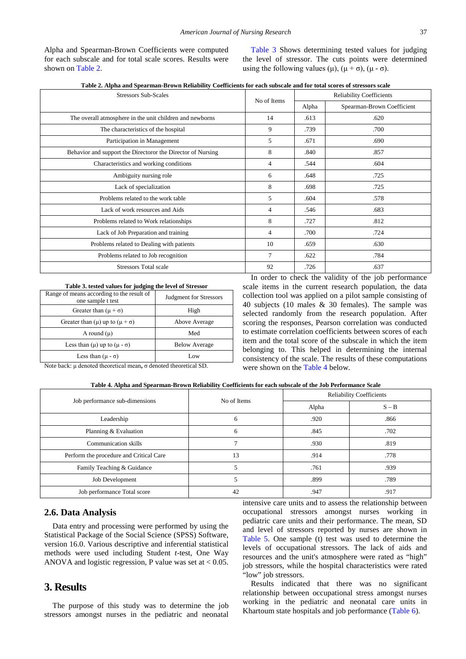Alpha and Spearman-Brown Coefficients were computed for each subscale and for total scale scores. Results were shown on [Table 2.](#page-3-0)

[Table 3](#page-3-1) Shows determining tested values for judging the level of stressor. The cuts points were determined using the following values (μ),  $(μ + σ)$ ,  $(μ - σ)$ .

**Table 2. Alpha and Spearman-Brown Reliability Coefficients for each subscale and for total scores of stressors scale**

<span id="page-3-0"></span>

| <b>Stressors Sub-Scales</b>                                 | No of Items |       | <b>Reliability Coefficients</b> |
|-------------------------------------------------------------|-------------|-------|---------------------------------|
|                                                             |             | Alpha | Spearman-Brown Coefficient      |
| The overall atmosphere in the unit children and newborns    | 14          | .613  | .620                            |
| The characteristics of the hospital                         | 9           | .739  | .700                            |
| Participation in Management                                 | 5           | .671  | .690                            |
| Behavior and support the Directoror the Director of Nursing | 8           | .840  | .857                            |
| Characteristics and working conditions                      | 4           | .544  | .604                            |
| Ambiguity nursing role                                      | 6           | .648  | .725                            |
| Lack of specialization                                      | 8           | .698  | .725                            |
| Problems related to the work table                          | 5           | .604  | .578                            |
| Lack of work resources and Aids                             | 4           | .546  | .683                            |
| Problems related to Work relationships                      | 8           | .727  | .812                            |
| Lack of Job Preparation and training                        | 4           | .700  | .724                            |
| Problems related to Dealing with patients                   | 10          | .659  | .630                            |
| Problems related to Job recognition                         | $\tau$      | .622  | .784                            |
| <b>Stressors Total scale</b>                                | 92          | .726  | .637                            |
|                                                             |             |       |                                 |

**Table 3. tested values for judging the level of Stressor**

<span id="page-3-1"></span>

| Range of means according to the result of<br>one sample t test | Judgment for Stressors |
|----------------------------------------------------------------|------------------------|
| Greater than $(\mu + \sigma)$                                  | High                   |
| Greater than ( $\mu$ ) up to ( $\mu + \sigma$ )                | Above Average          |
| A round $(\mu)$                                                | Med                    |
| Less than $(\mu)$ up to $(\mu - \sigma)$                       | <b>Below Average</b>   |
| Less than $(\mu - \sigma)$                                     | Low                    |

In order to check the validity of the job performance scale items in the current research population, the data collection tool was applied on a pilot sample consisting of 40 subjects (10 males & 30 females). The sample was selected randomly from the research population. After scoring the responses, Pearson correlation was conducted to estimate correlation coefficients between scores of each item and the total score of the subscale in which the item belonging to. This helped in determining the internal consistency of the scale. The results of these computations were shown on the [Table 4](#page-3-2) below.

Note back: μ denoted theoretical mean**,** σ denoted theoretical SD.

|  |  | Table 4. Alpha and Spearman-Brown Reliability Coefficients for each subscale of the Job Performance Scale |  |  |  |  |
|--|--|-----------------------------------------------------------------------------------------------------------|--|--|--|--|
|--|--|-----------------------------------------------------------------------------------------------------------|--|--|--|--|

<span id="page-3-2"></span>

|                                         | No of Items | <b>Reliability Coefficients</b> |         |  |  |
|-----------------------------------------|-------------|---------------------------------|---------|--|--|
| Job performance sub-dimensions          |             | Alpha                           | $S - B$ |  |  |
| Leadership                              | 6           | .920                            | .866    |  |  |
| Planning & Evaluation                   | 6           | .845                            | .702    |  |  |
| Communication skills                    |             | .930                            | .819    |  |  |
| Perform the procedure and Critical Care | 13          | .914                            | .778    |  |  |
| Family Teaching & Guidance              |             | .761                            | .939    |  |  |
| Job Development                         |             | .899                            | .789    |  |  |
| Job performance Total score             | 42          | .947                            | .917    |  |  |

#### **2.6. Data Analysis**

Data entry and processing were performed by using the Statistical Package of the Social Science (SPSS) Software, version 16.0. Various descriptive and inferential statistical methods were used including Student *t*-test, One Way ANOVA and logistic regression, P value was set at  $< 0.05$ .

# **3. Results**

The purpose of this study was to determine the job stressors amongst nurses in the pediatric and neonatal intensive care units and to assess the relationship between occupational stressors amongst nurses working in pediatric care units and their performance. The mean, SD and level of stressors reported by nurses are shown in [Table 5.](#page-4-0) One sample (t) test was used to determine the levels of occupational stressors. The lack of aids and resources and the unit's atmosphere were rated as "high" job stressors, while the hospital characteristics were rated "low" job stressors.

Results indicated that there was no significant relationship between occupational stress amongst nurses working in the pediatric and neonatal care units in Khartoum state hospitals and job performance [\(Table 6\)](#page-4-1).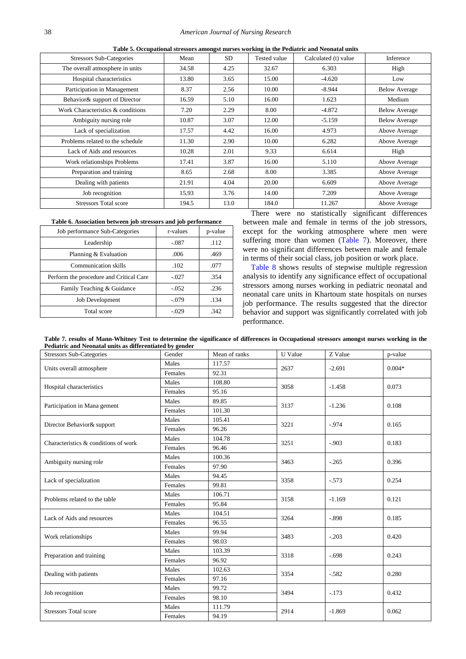<span id="page-4-0"></span>

| <b>Stressors Sub-Categories</b>   | Mean  | SD.  | Tested value | Calculated (t) value | Inference            |
|-----------------------------------|-------|------|--------------|----------------------|----------------------|
| The overall atmosphere in units   | 34.58 | 4.25 | 32.67        | 6.303                | High                 |
| Hospital characteristics          | 13.80 | 3.65 | 15.00        | $-4.620$             | Low                  |
| Participation in Management       | 8.37  | 2.56 | 10.00        | $-8.944$             | <b>Below Average</b> |
| Behavior & support of Director    | 16.59 | 5.10 | 16.00        | 1.623                | Medium               |
| Work Characteristics & conditions | 7.20  | 2.29 | 8.00         | $-4.872$             | <b>Below Average</b> |
| Ambiguity nursing role            | 10.87 | 3.07 | 12.00        | $-5.159$             | <b>Below Average</b> |
| Lack of specialization            | 17.57 | 4.42 | 16.00        | 4.973                | Above Average        |
| Problems related to the schedule  | 11.30 | 2.90 | 10.00        | 6.282                | Above Average        |
| Lack of Aids and resources        | 10.28 | 2.01 | 9.33         | 6.614                | High                 |
| Work relationships Problems       | 17.41 | 3.87 | 16.00        | 5.110                | Above Average        |
| Preparation and training          | 8.65  | 2.68 | 8.00         | 3.385                | Above Average        |
| Dealing with patients             | 21.91 | 4.04 | 20.00        | 6.609                | Above Average        |
| Job recognition                   | 15.93 | 3.76 | 14.00        | 7.209                | Above Average        |
| <b>Stressors Total score</b>      | 194.5 | 13.0 | 184.0        | 11.267               | Above Average        |
|                                   |       |      |              |                      |                      |

**Table 5. Occupational stressors amongst nurses working in the Pediatric and Neonatal units**

**Table 6. Association between job stressors and job performance**

<span id="page-4-1"></span>

| Job performance Sub-Categories          | r-values | p-value |
|-----------------------------------------|----------|---------|
| Leadership                              | $-.087$  | .112    |
| Planning & Evaluation                   | .006     | .469    |
| Communication skills                    | .102     | .077    |
| Perform the procedure and Critical Care | $-.027$  | .354    |
| Family Teaching & Guidance              | $-.052$  | .236    |
| <b>Job Development</b>                  | $-.079$  | .134    |
| Total score                             | $-.029$  | .342    |

There were no statistically significant differences between male and female in terms of the job stressors, except for the working atmosphere where men were suffering more than women [\(Table 7\)](#page-4-2). Moreover, there were no significant differences between male and female in terms of their social class, job position or work place.

[Table 8](#page-5-0) shows results of stepwise multiple regression analysis to identify any significance effect of occupational stressors among nurses working in pediatric neonatal and neonatal care units in Khartoum state hospitals on nurses job performance. The results suggested that the director behavior and support was significantly correlated with job performance.

**Table 7. results of Mann-Whitney Test to determine the significance of differences in Occupational stressors amongst nurses working in the Pediatric and Neonatal units as differentiated by gender**

<span id="page-4-2"></span>

| <b>Stressors Sub-Categories</b>      | Gender  | Mean of ranks | U Value | Z Value                                                                                                        | p-value  |  |
|--------------------------------------|---------|---------------|---------|----------------------------------------------------------------------------------------------------------------|----------|--|
| Units overall atmosphere             | Males   | 117.57        | 2637    |                                                                                                                | $0.004*$ |  |
|                                      | Females | 92.31         |         | $-2.691$<br>$-1.458$<br>$-1.236$<br>$-.974$<br>$-.903$<br>$-.265$<br>$-.573$<br>$-1.169$<br>$-.898$<br>$-.203$ |          |  |
| Hospital characteristics             | Males   | 108.80        | 3058    |                                                                                                                | 0.073    |  |
|                                      | Females | 95.16         |         |                                                                                                                |          |  |
| Participation in Mana gement         | Males   | 89.85         | 3137    |                                                                                                                | 0.108    |  |
|                                      | Females | 101.30        |         | $-.698$<br>$-.582$<br>$-.173$<br>$-1.869$                                                                      |          |  |
| Director Behavior& support           | Males   | 105.41        | 3221    |                                                                                                                | 0.165    |  |
|                                      | Females | 96.26         |         |                                                                                                                |          |  |
| Characteristics & conditions of work | Males   | 104.78        | 3251    |                                                                                                                | 0.183    |  |
|                                      | Females | 96.46         |         |                                                                                                                |          |  |
|                                      | Males   | 100.36        |         |                                                                                                                | 0.396    |  |
| Ambiguity nursing role               | Females | 97.90         | 3463    |                                                                                                                |          |  |
| Lack of specialization               | Males   | 94.45         | 3358    |                                                                                                                | 0.254    |  |
|                                      | Females | 99.81         |         |                                                                                                                |          |  |
| Problems related to the table        | Males   | 106.71        | 3158    |                                                                                                                | 0.121    |  |
|                                      | Females | 95.84         |         |                                                                                                                |          |  |
| Lack of Aids and resources           | Males   | 104.51        |         |                                                                                                                | 0.185    |  |
|                                      | Females | 96.55         | 3264    |                                                                                                                |          |  |
|                                      | Males   | 99.94         | 3483    |                                                                                                                | 0.420    |  |
| Work relationships                   | Females | 98.03         |         |                                                                                                                |          |  |
|                                      | Males   | 103.39        | 3318    |                                                                                                                |          |  |
| Preparation and training             | Females | 96.92         |         |                                                                                                                | 0.243    |  |
|                                      | Males   | 102.63        | 3354    |                                                                                                                | 0.280    |  |
| Dealing with patients                | Females | 97.16         |         |                                                                                                                |          |  |
| Job recognition                      | Males   | 99.72         | 3494    |                                                                                                                | 0.432    |  |
|                                      | Females | 98.10         |         |                                                                                                                |          |  |
| <b>Stressors Total score</b>         | Males   | 111.79        | 2914    |                                                                                                                |          |  |
|                                      | Females | 94.19         |         |                                                                                                                | 0.062    |  |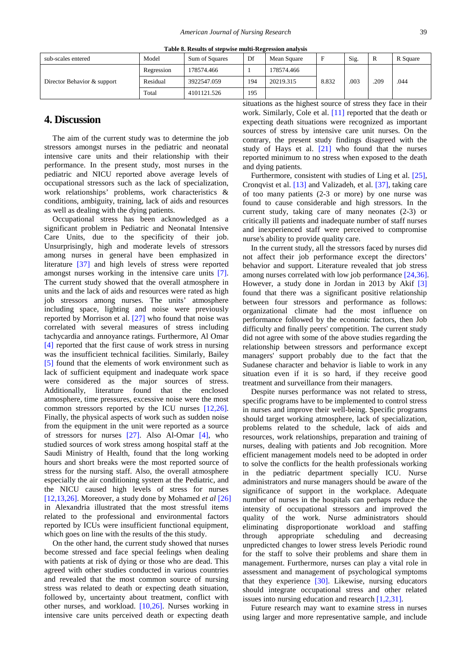<span id="page-5-0"></span>

| Table 8. Results of stepwise multi-Regression analysis |            |                |     |             |       |      |      |          |  |
|--------------------------------------------------------|------------|----------------|-----|-------------|-------|------|------|----------|--|
| sub-scales entered                                     | Model      | Sum of Squares | Df  | Mean Square | F     | Sig. | R    | R Square |  |
| Director Behavior & support                            | Regression | 178574.466     |     | 178574.466  |       |      | .209 | .044     |  |
|                                                        | Residual   | 3922547.059    | 194 | 20219.315   | 8.832 | .003 |      |          |  |
|                                                        | Total      | 4101121.526    | 195 |             |       |      |      |          |  |

# **4. Discussion**

The aim of the current study was to determine the job stressors amongst nurses in the pediatric and neonatal intensive care units and their relationship with their performance. In the present study, most nurses in the pediatric and NICU reported above average levels of occupational stressors such as the lack of specialization, work relationships' problems, work characteristics & conditions, ambiguity, training, lack of aids and resources as well as dealing with the dying patients.

Occupational stress has been acknowledged as a significant problem in Pediatric and Neonatal Intensive Care Units, due to the specificity of their job. Unsurprisingly, high and moderate levels of stressors among nurses in general have been emphasized in literature [\[37\]](#page-6-9) and high levels of stress were reported amongst nurses working in the intensive care units [\[7\].](#page-6-19) The current study showed that the overall atmosphere in units and the lack of aids and resources were rated as high job stressors among nurses. The units' atmosphere including space, lighting and noise were previously reported by Morrison et al. [\[27\]](#page-6-20) who found that noise was correlated with several measures of stress including tachycardia and annoyance ratings. Furthermore, Al Omar [\[4\]](#page-6-21) reported that the first cause of work stress in nursing was the insufficient technical facilities. Similarly, Bailey [\[5\]](#page-6-22) found that the elements of work environment such as lack of sufficient equipment and inadequate work space were considered as the major sources of stress. Additionally, literature found that the enclosed atmosphere, time pressures, excessive noise were the most common stressors reported by the ICU nurses [\[12,26\].](#page-6-23) Finally, the physical aspects of work such as sudden noise from the equipment in the unit were reported as a source of stressors for nurses [\[27\].](#page-6-20) Also Al-Omar [\[4\],](#page-6-21) who studied sources of work stress among hospital staff at the Saudi Ministry of Health, found that the long working hours and short breaks were the most reported source of stress for the nursing staff. Also, the overall atmosphere especially the air conditioning system at the Pediatric, and the NICU caused high levels of stress for nurses [\[12,13,26\].](#page-6-23) Moreover, a study done by Mohamed *et al* [\[26\]](#page-6-24) in Alexandria illustrated that the most stressful items related to the professional and environmental factors reported by ICUs were insufficient functional equipment, which goes on line with the results of the this study.

On the other hand, the current study showed that nurses become stressed and face special feelings when dealing with patients at risk of dying or those who are dead. This agreed with other studies conducted in various countries and revealed that the most common source of nursing stress was related to death or expecting death situation, followed by, uncertainty about treatment, conflict with other nurses, and workload. [\[10,26\].](#page-6-25) Nurses working in intensive care units perceived death or expecting death

situations as the highest source of stress they face in their work. Similarly, Cole et al. [\[11\]](#page-6-26) reported that the death or expecting death situations were recognized as important sources of stress by intensive care unit nurses. On the contrary, the present study findings disagreed with the study of Hays et al. [\[21\]](#page-6-8) who found that the nurses reported minimum to no stress when exposed to the death and dying patients.

Furthermore, consistent with studies of Ling et al. [\[25\],](#page-6-27) Cronqvist et al. [\[13\]](#page-6-15) and Valizadeh, et al. [\[37\],](#page-6-9) taking care of too many patients (2-3 or more) by one nurse was found to cause considerable and high stressors. In the current study, taking care of many neonates (2-3) or critically ill patients and inadequate number of staff nurses and inexperienced staff were perceived to compromise nurse's ability to provide quality care.

In the current study, all the stressors faced by nurses did not affect their job performance except the directors' behavior and support. Literature revealed that job stress among nurses correlated with low job performance [\[24,36\].](#page-6-28) However, a study done in Jordan in 2013 by Akif [\[3\]](#page-6-29) found that there was a significant positive relationship between four stressors and performance as follows: organizational climate had the most influence on performance followed by the economic factors, then Job difficulty and finally peers' competition. The current study did not agree with some of the above studies regarding the relationship between stressors and performance except managers' support probably due to the fact that the Sudanese character and behavior is liable to work in any situation even if it is so hard, if they receive good treatment and surveillance from their managers.

Despite nurses performance was not related to stress, specific programs have to be implemented to control stress in nurses and improve their well-being. Specific programs should target working atmosphere, lack of specialization, problems related to the schedule, lack of aids and resources, work relationships, preparation and training of nurses, dealing with patients and Job recognition. More efficient management models need to be adopted in order to solve the conflicts for the health professionals working in the pediatric department specially ICU. Nurse administrators and nurse managers should be aware of the significance of support in the workplace. Adequate number of nurses in the hospitals can perhaps reduce the intensity of occupational stressors and improved the quality of the work. Nurse administrators should eliminating disproportionate workload and staffing through appropriate scheduling and decreasing unpredicted changes to lower stress levels Periodic round for the staff to solve their problems and share them in management. Furthermore, nurses can play a vital role in assessment and management of psychological symptoms that they experience [\[30\].](#page-6-30) Likewise, nursing educators should integrate occupational stress and other related issues into nursing education and research [\[1,2,31\].](#page-6-31)

Future research may want to examine stress in nurses using larger and more representative sample, and include